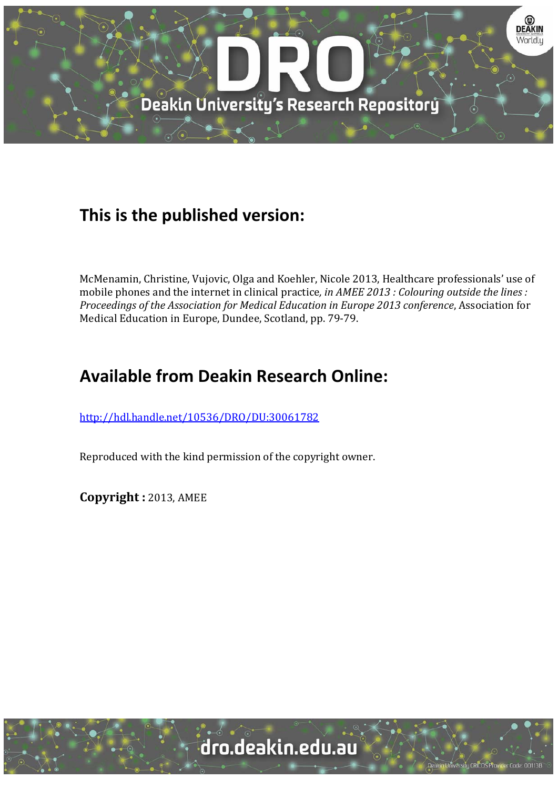

## **This is the published version:**

McMenamin, Christine, Vujovic, Olga and Koehler, Nicole 2013, Healthcare professionals' use of mobile phones and the internet in clinical practice, *in AMEE 2013 : Colouring outside the lines : Proceedings of the Association for Medical Education in Europe 2013 conference*, Association for Medical Education in Europe, Dundee, Scotland, pp. 79-79.

# **Available from Deakin Research Online:**

http://hdl.handle.net/10536/DRO/DU:30061782

Reproduced with the kind permission of the copyright owner.

**Copyright :** 2013, AMEE